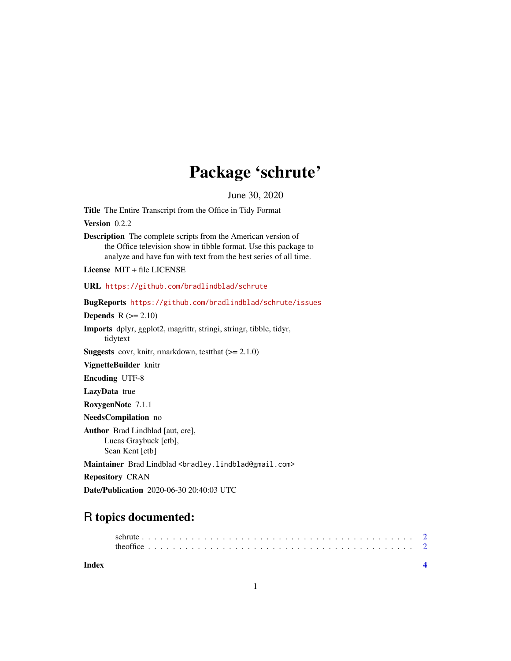## Package 'schrute'

June 30, 2020

Title The Entire Transcript from the Office in Tidy Format

Version 0.2.2

Description The complete scripts from the American version of the Office television show in tibble format. Use this package to analyze and have fun with text from the best series of all time.

License MIT + file LICENSE

URL <https://github.com/bradlindblad/schrute>

BugReports <https://github.com/bradlindblad/schrute/issues>

Depends  $R$  ( $>= 2.10$ )

Imports dplyr, ggplot2, magrittr, stringi, stringr, tibble, tidyr, tidytext

**Suggests** covr, knitr, rmarkdown, test that  $(>= 2.1.0)$ 

VignetteBuilder knitr

Encoding UTF-8

LazyData true

RoxygenNote 7.1.1

NeedsCompilation no

Author Brad Lindblad [aut, cre], Lucas Graybuck [ctb], Sean Kent [ctb]

Maintainer Brad Lindblad <br />
com>
degmail.com>

Repository CRAN

Date/Publication 2020-06-30 20:40:03 UTC

### R topics documented:

**Index** [4](#page-3-0)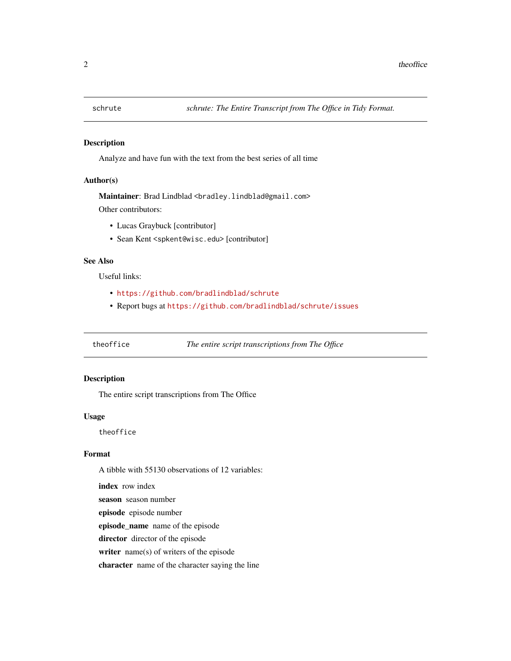<span id="page-1-0"></span>

#### Description

Analyze and have fun with the text from the best series of all time

#### Author(s)

Maintainer: Brad Lindblad <bradley.lindblad@gmail.com> Other contributors:

- Lucas Graybuck [contributor]
- Sean Kent <spkent@wisc.edu> [contributor]

#### See Also

Useful links:

- <https://github.com/bradlindblad/schrute>
- Report bugs at <https://github.com/bradlindblad/schrute/issues>

theoffice *The entire script transcriptions from The Office*

#### Description

The entire script transcriptions from The Office

#### Usage

theoffice

#### Format

A tibble with 55130 observations of 12 variables:

index row index

season season number

episode episode number

episode\_name name of the episode

director director of the episode

writer name(s) of writers of the episode

character name of the character saying the line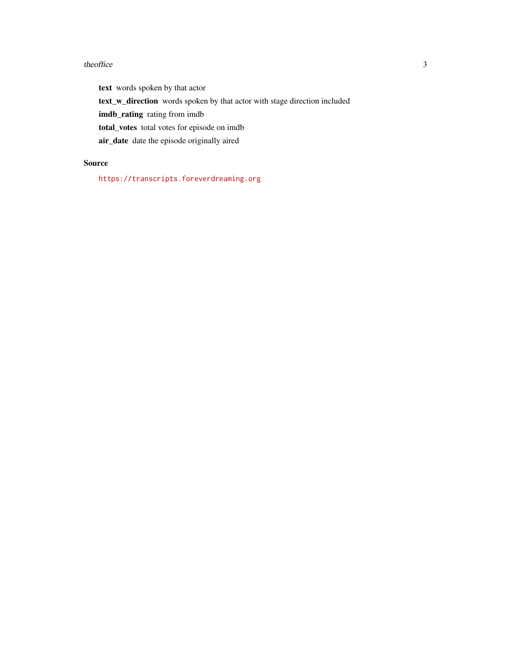#### theoffice 3

text words spoken by that actor

text\_w\_direction words spoken by that actor with stage direction included

imdb\_rating rating from imdb

total\_votes total votes for episode on imdb

air\_date date the episode originally aired

#### Source

<https://transcripts.foreverdreaming.org>